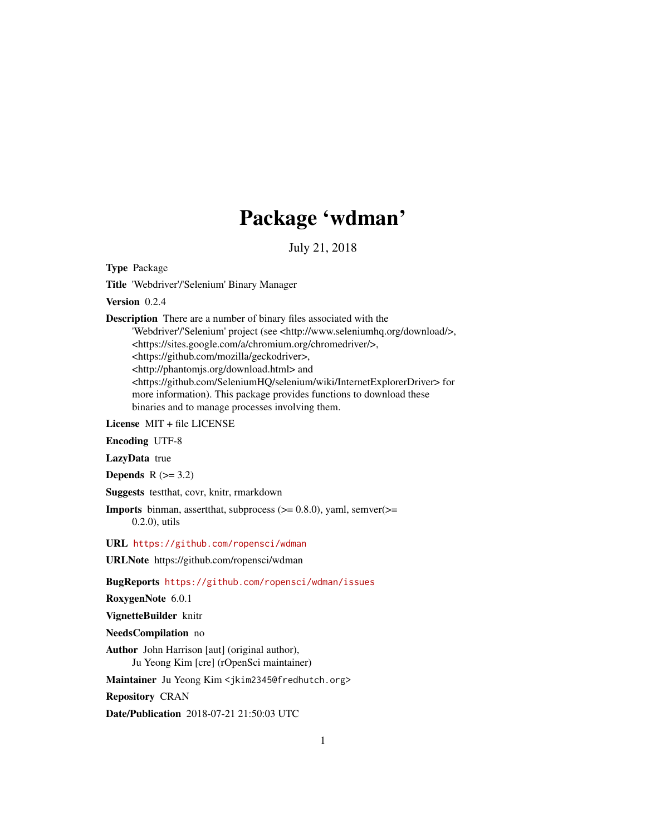## Package 'wdman'

July 21, 2018

<span id="page-0-0"></span>Type Package

Title 'Webdriver'/'Selenium' Binary Manager

Version 0.2.4

Description There are a number of binary files associated with the 'Webdriver'/'Selenium' project (see <http://www.seleniumhq.org/download/>, <https://sites.google.com/a/chromium.org/chromedriver/>, <https://github.com/mozilla/geckodriver>, <http://phantomjs.org/download.html> and <https://github.com/SeleniumHQ/selenium/wiki/InternetExplorerDriver> for more information). This package provides functions to download these binaries and to manage processes involving them.

License MIT + file LICENSE

Encoding UTF-8

LazyData true

Depends  $R$  ( $>= 3.2$ )

Suggests testthat, covr, knitr, rmarkdown

**Imports** binman, assert that, subprocess  $(>= 0.8.0)$ , yaml, semver $(>=$ 0.2.0), utils

URL <https://github.com/ropensci/wdman>

URLNote https://github.com/ropensci/wdman

BugReports <https://github.com/ropensci/wdman/issues>

RoxygenNote 6.0.1

VignetteBuilder knitr

NeedsCompilation no

Author John Harrison [aut] (original author), Ju Yeong Kim [cre] (rOpenSci maintainer)

Maintainer Ju Yeong Kim <jkim2345@fredhutch.org>

Repository CRAN

Date/Publication 2018-07-21 21:50:03 UTC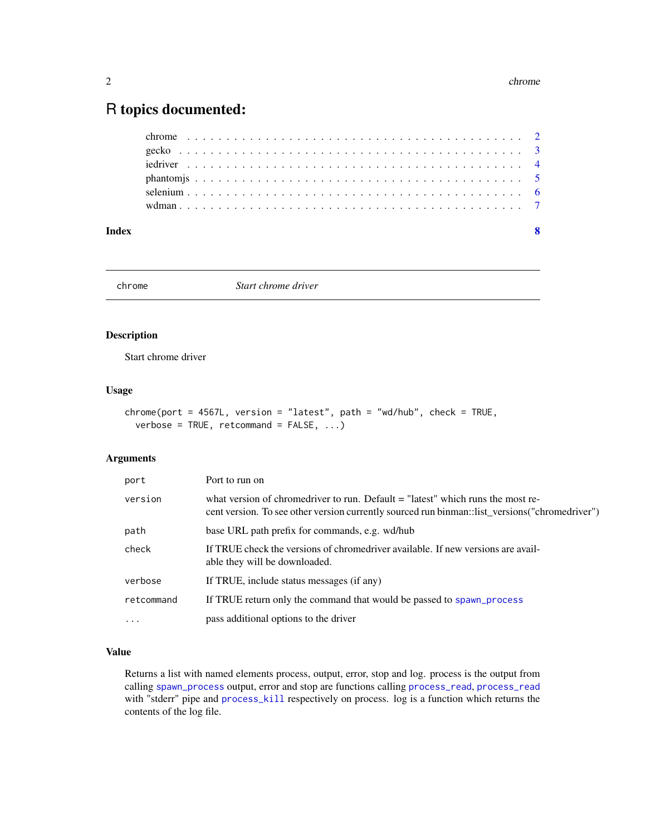### <span id="page-1-0"></span>R topics documented:

chrome *Start chrome driver*

#### Description

Start chrome driver

#### Usage

```
chrome(port = 4567L, version = "latest", path = "wd/hub", check = TRUE,
 verbose = TRUE, retcommand = FALSE, ...)
```
#### Arguments

| port       | Port to run on                                                                                                                                                                       |
|------------|--------------------------------------------------------------------------------------------------------------------------------------------------------------------------------------|
| version    | what version of chromedriver to run. Default $=$ "latest" which runs the most re-<br>cent version. To see other version currently sourced run binman: list versions ("chromedriver") |
| path       | base URL path prefix for commands, e.g. wd/hub                                                                                                                                       |
| check      | If TRUE check the versions of chromedriver available. If new versions are avail-<br>able they will be downloaded.                                                                    |
| verbose    | If TRUE, include status messages (if any)                                                                                                                                            |
| retcommand | If TRUE return only the command that would be passed to spawn_process                                                                                                                |
| $\cdots$   | pass additional options to the driver                                                                                                                                                |

#### Value

Returns a list with named elements process, output, error, stop and log. process is the output from calling [spawn\\_process](#page-0-0) output, error and stop are functions calling [process\\_read](#page-0-0), [process\\_read](#page-0-0) with "stderr" pipe and [process\\_kill](#page-0-0) respectively on process. log is a function which returns the contents of the log file.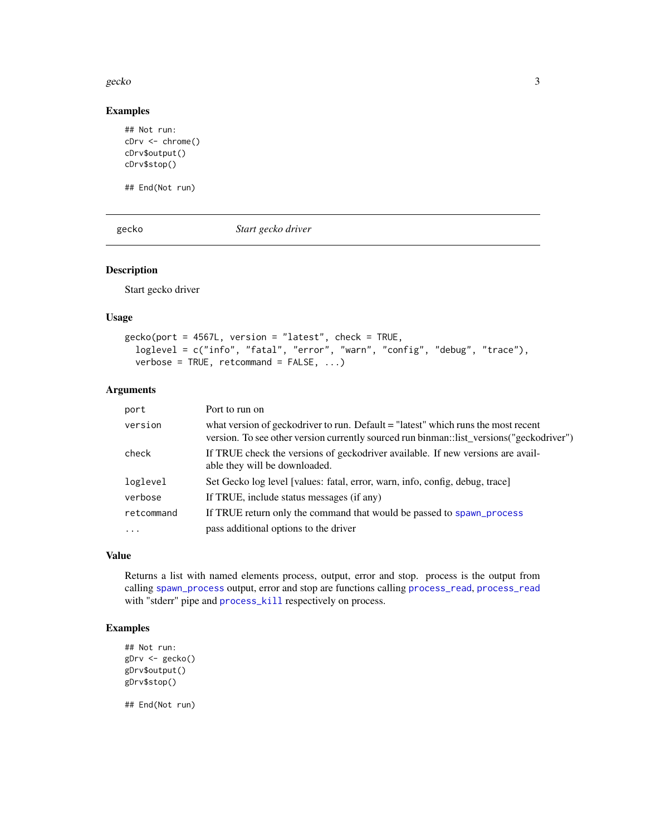#### <span id="page-2-0"></span>gecko 33 aprilista eta 2009ko hamarkada eta 2009ko hamarkada eta 2009ko hamarkada eta 2009ko hamarkada eta 20

#### Examples

```
## Not run:
cDrv <- chrome()
cDrv$output()
cDrv$stop()
```
## End(Not run)

gecko *Start gecko driver*

#### Description

Start gecko driver

#### Usage

```
gecko(port = 4567L, version = "latest", check = TRUE,loglevel = c("info", "fatal", "error", "warn", "config", "debug", "trace"),
  verbose = TRUE, retcommand = FALSE, ...)
```
#### Arguments

| port       | Port to run on                                                                                                                                                                |
|------------|-------------------------------------------------------------------------------------------------------------------------------------------------------------------------------|
| version    | what version of geckodriver to run. Default = "latest" which runs the most recent<br>version. To see other version currently sourced run binman::list_versions("geckodriver") |
| check      | If TRUE check the versions of geckodriver available. If new versions are avail-<br>able they will be downloaded.                                                              |
| loglevel   | Set Gecko log level [values: fatal, error, warn, info, config, debug, trace]                                                                                                  |
| verbose    | If TRUE, include status messages (if any)                                                                                                                                     |
| retcommand | If TRUE return only the command that would be passed to spawn_process                                                                                                         |
| $\ddots$   | pass additional options to the driver                                                                                                                                         |

#### Value

Returns a list with named elements process, output, error and stop. process is the output from calling [spawn\\_process](#page-0-0) output, error and stop are functions calling [process\\_read](#page-0-0), [process\\_read](#page-0-0) with "stderr" pipe and [process\\_kill](#page-0-0) respectively on process.

#### Examples

```
## Not run:
gDrv <- gecko()
gDrv$output()
gDrv$stop()
```
## End(Not run)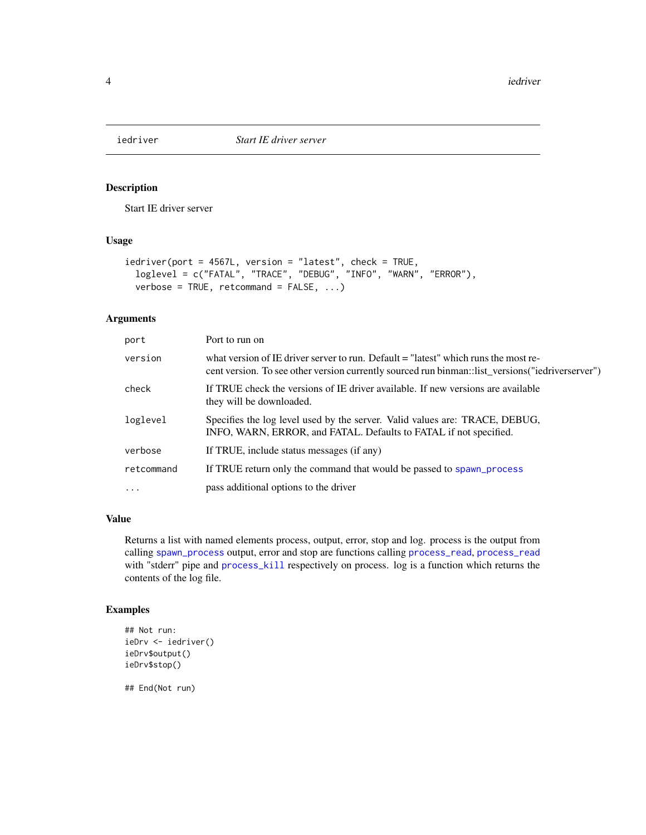<span id="page-3-0"></span>

#### Description

Start IE driver server

#### Usage

```
iedriver(port = 4567L, version = "latest", check = TRUE,
  loglevel = c("FATAL", "TRACE", "DEBUG", "INFO", "WARN", "ERROR"),
 verbose = TRUE, retcommand = FALSE, ...)
```
#### Arguments

| port       | Port to run on                                                                                                                                                                            |
|------------|-------------------------------------------------------------------------------------------------------------------------------------------------------------------------------------------|
| version    | what version of IE driver server to run. Default $=$ "latest" which runs the most re-<br>cent version. To see other version currently sourced run binman: list_versions("iedriverserver") |
| check      | If TRUE check the versions of IE driver available. If new versions are available<br>they will be downloaded.                                                                              |
| loglevel   | Specifies the log level used by the server. Valid values are: TRACE, DEBUG,<br>INFO, WARN, ERROR, and FATAL. Defaults to FATAL if not specified.                                          |
| verbose    | If TRUE, include status messages (if any)                                                                                                                                                 |
| retcommand | If TRUE return only the command that would be passed to spawn_process                                                                                                                     |
| $\ddots$ . | pass additional options to the driver                                                                                                                                                     |

#### Value

Returns a list with named elements process, output, error, stop and log. process is the output from calling [spawn\\_process](#page-0-0) output, error and stop are functions calling [process\\_read](#page-0-0), [process\\_read](#page-0-0) with "stderr" pipe and [process\\_kill](#page-0-0) respectively on process. log is a function which returns the contents of the log file.

#### Examples

```
## Not run:
ieDrv <- iedriver()
ieDrv$output()
ieDrv$stop()
```
## End(Not run)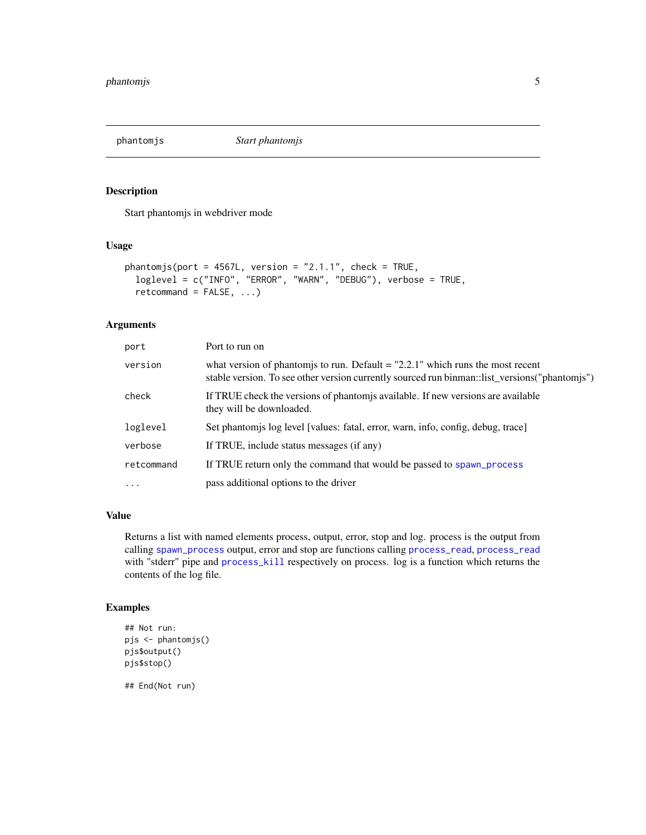<span id="page-4-0"></span>phantomjs *Start phantomjs*

#### Description

Start phantomjs in webdriver mode

#### Usage

```
phantomjs(port = 4567L, version = "2.1.1", check = TRUE,
  loglevel = c("INFO", "ERROR", "WARN", "DEBUG"), verbose = TRUE,
  retcommand = FALSE, ...)
```
#### Arguments

| port       | Port to run on                                                                                                                                                                    |
|------------|-----------------------------------------------------------------------------------------------------------------------------------------------------------------------------------|
| version    | what version of phantomis to run. Default $=$ "2.2.1" which runs the most recent<br>stable version. To see other version currently sourced run binman: list_versions("phantomjs") |
| check      | If TRUE check the versions of phantom is available. If new versions are available<br>they will be downloaded.                                                                     |
| loglevel   | Set phantomis log level [values: fatal, error, warn, info, config, debug, trace]                                                                                                  |
| verbose    | If TRUE, include status messages (if any)                                                                                                                                         |
| retcommand | If TRUE return only the command that would be passed to spawn_process                                                                                                             |
| $\ddots$   | pass additional options to the driver                                                                                                                                             |

#### Value

Returns a list with named elements process, output, error, stop and log. process is the output from calling [spawn\\_process](#page-0-0) output, error and stop are functions calling [process\\_read](#page-0-0), [process\\_read](#page-0-0) with "stderr" pipe and [process\\_kill](#page-0-0) respectively on process. log is a function which returns the contents of the log file.

#### Examples

```
## Not run:
pjs <- phantomjs()
pjs$output()
pjs$stop()
## End(Not run)
```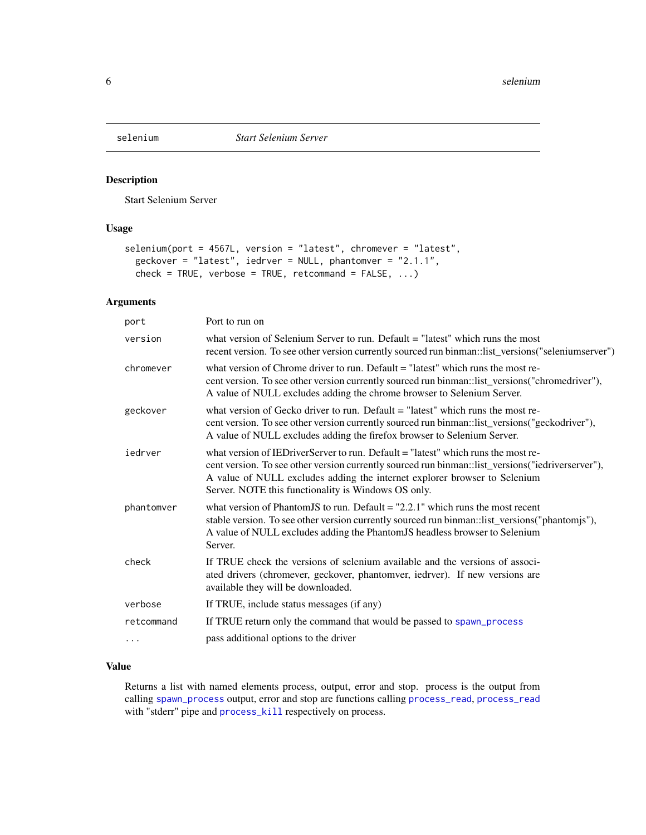<span id="page-5-0"></span>

#### Description

Start Selenium Server

#### Usage

```
selenium(port = 4567L, version = "latest", chromever = "latest",
 geckover = "latest", iedrver = NULL, phantomver = "2.1.1",
  check = TRUE, verbose = TRUE, retcommand = FALSE, ...)
```
#### Arguments

| port       | Port to run on                                                                                                                                                                                                                                                                                                              |
|------------|-----------------------------------------------------------------------------------------------------------------------------------------------------------------------------------------------------------------------------------------------------------------------------------------------------------------------------|
| version    | what version of Selenium Server to run. Default = "latest" which runs the most<br>recent version. To see other version currently sourced run binman::list_versions("seleniumserver")                                                                                                                                        |
| chromever  | what version of Chrome driver to run. Default $=$ "latest" which runs the most re-<br>cent version. To see other version currently sourced run binman::list_versions("chromedriver"),<br>A value of NULL excludes adding the chrome browser to Selenium Server.                                                             |
| geckover   | what version of Gecko driver to run. Default $=$ "latest" which runs the most re-<br>cent version. To see other version currently sourced run binman::list_versions("geckodriver"),<br>A value of NULL excludes adding the firefox browser to Selenium Server.                                                              |
| iedrver    | what version of IED riverServer to run. Default = "latest" which runs the most re-<br>cent version. To see other version currently sourced run binman::list_versions("iedriverserver"),<br>A value of NULL excludes adding the internet explorer browser to Selenium<br>Server. NOTE this functionality is Windows OS only. |
| phantomver | what version of Phantom IS to run. Default $=$ "2.2.1" which runs the most recent<br>stable version. To see other version currently sourced run binman::list_versions("phantomjs"),<br>A value of NULL excludes adding the PhantomJS headless browser to Selenium<br>Server.                                                |
| check      | If TRUE check the versions of selenium available and the versions of associ-<br>ated drivers (chromever, geckover, phantomver, iedrver). If new versions are<br>available they will be downloaded.                                                                                                                          |
| verbose    | If TRUE, include status messages (if any)                                                                                                                                                                                                                                                                                   |
| retcommand | If TRUE return only the command that would be passed to spawn_process                                                                                                                                                                                                                                                       |
| $\cdots$   | pass additional options to the driver                                                                                                                                                                                                                                                                                       |
|            |                                                                                                                                                                                                                                                                                                                             |

#### Value

Returns a list with named elements process, output, error and stop. process is the output from calling [spawn\\_process](#page-0-0) output, error and stop are functions calling [process\\_read](#page-0-0), [process\\_read](#page-0-0) with "stderr" pipe and [process\\_kill](#page-0-0) respectively on process.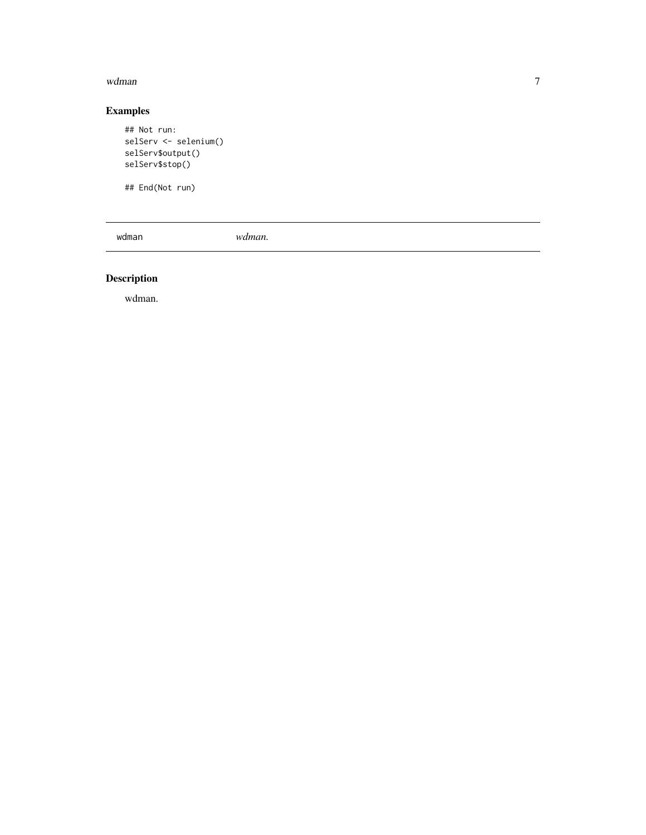#### <span id="page-6-0"></span>wdman

#### Examples

```
## Not run:
selServ <- selenium()
selServ$output()
selServ$stop()
```
## End(Not run)

wdman *wdman.*

#### Description

wdman.